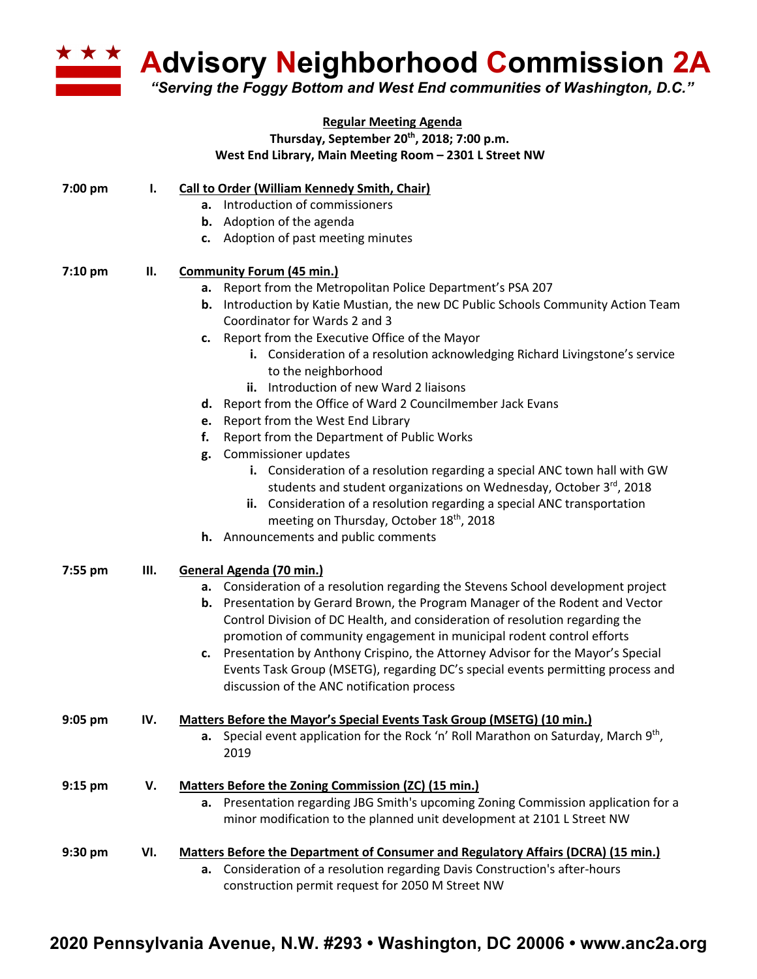

**Advisory Neighborhood Commission 2A**

*"Serving the Foggy Bottom and West End communities of Washington, D.C."*

|           |     | <b>Regular Meeting Agenda</b><br>Thursday, September 20th, 2018; 7:00 p.m.<br>West End Library, Main Meeting Room - 2301 L Street NW                                                                                                                                                                                                                                                                             |  |  |  |
|-----------|-----|------------------------------------------------------------------------------------------------------------------------------------------------------------------------------------------------------------------------------------------------------------------------------------------------------------------------------------------------------------------------------------------------------------------|--|--|--|
| 7:00 pm   | ı.  | <b>Call to Order (William Kennedy Smith, Chair)</b>                                                                                                                                                                                                                                                                                                                                                              |  |  |  |
|           |     | a. Introduction of commissioners<br><b>b.</b> Adoption of the agenda                                                                                                                                                                                                                                                                                                                                             |  |  |  |
|           |     | c. Adoption of past meeting minutes                                                                                                                                                                                                                                                                                                                                                                              |  |  |  |
| $7:10$ pm | П.  | <b>Community Forum (45 min.)</b>                                                                                                                                                                                                                                                                                                                                                                                 |  |  |  |
|           |     | a. Report from the Metropolitan Police Department's PSA 207                                                                                                                                                                                                                                                                                                                                                      |  |  |  |
|           |     | <b>b.</b> Introduction by Katie Mustian, the new DC Public Schools Community Action Team<br>Coordinator for Wards 2 and 3                                                                                                                                                                                                                                                                                        |  |  |  |
|           |     | c. Report from the Executive Office of the Mayor                                                                                                                                                                                                                                                                                                                                                                 |  |  |  |
|           |     | i. Consideration of a resolution acknowledging Richard Livingstone's service<br>to the neighborhood                                                                                                                                                                                                                                                                                                              |  |  |  |
|           |     | ii. Introduction of new Ward 2 liaisons                                                                                                                                                                                                                                                                                                                                                                          |  |  |  |
|           |     | d. Report from the Office of Ward 2 Councilmember Jack Evans                                                                                                                                                                                                                                                                                                                                                     |  |  |  |
|           |     | e. Report from the West End Library                                                                                                                                                                                                                                                                                                                                                                              |  |  |  |
|           |     | Report from the Department of Public Works<br>f.                                                                                                                                                                                                                                                                                                                                                                 |  |  |  |
|           |     | g. Commissioner updates<br>i. Consideration of a resolution regarding a special ANC town hall with GW<br>students and student organizations on Wednesday, October 3rd, 2018<br>ii. Consideration of a resolution regarding a special ANC transportation<br>meeting on Thursday, October 18th, 2018                                                                                                               |  |  |  |
|           |     | h. Announcements and public comments                                                                                                                                                                                                                                                                                                                                                                             |  |  |  |
|           |     |                                                                                                                                                                                                                                                                                                                                                                                                                  |  |  |  |
| 7:55 pm   | Ш.  | General Agenda (70 min.)                                                                                                                                                                                                                                                                                                                                                                                         |  |  |  |
|           |     | a. Consideration of a resolution regarding the Stevens School development project<br>b. Presentation by Gerard Brown, the Program Manager of the Rodent and Vector<br>Control Division of DC Health, and consideration of resolution regarding the<br>promotion of community engagement in municipal rodent control efforts<br>c. Presentation by Anthony Crispino, the Attorney Advisor for the Mayor's Special |  |  |  |
|           |     | Events Task Group (MSETG), regarding DC's special events permitting process and<br>discussion of the ANC notification process                                                                                                                                                                                                                                                                                    |  |  |  |
| $9:05$ pm | IV. | Matters Before the Mayor's Special Events Task Group (MSETG) (10 min.)                                                                                                                                                                                                                                                                                                                                           |  |  |  |
|           |     | <b>a.</b> Special event application for the Rock 'n' Roll Marathon on Saturday, March 9 <sup>th</sup> ,<br>2019                                                                                                                                                                                                                                                                                                  |  |  |  |
| $9:15$ pm | v.  | <b>Matters Before the Zoning Commission (ZC) (15 min.)</b>                                                                                                                                                                                                                                                                                                                                                       |  |  |  |
|           |     | a. Presentation regarding JBG Smith's upcoming Zoning Commission application for a<br>minor modification to the planned unit development at 2101 L Street NW                                                                                                                                                                                                                                                     |  |  |  |
| 9:30 pm   | VI. | <b>Matters Before the Department of Consumer and Regulatory Affairs (DCRA) (15 min.)</b>                                                                                                                                                                                                                                                                                                                         |  |  |  |
|           |     | a. Consideration of a resolution regarding Davis Construction's after-hours<br>construction permit request for 2050 M Street NW                                                                                                                                                                                                                                                                                  |  |  |  |